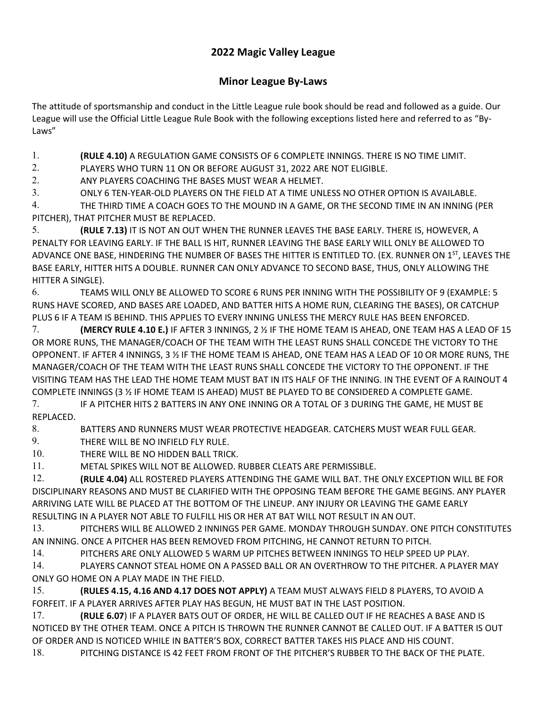## **2022 Magic Valley League**

## **Minor League By-Laws**

The attitude of sportsmanship and conduct in the Little League rule book should be read and followed as a guide. Our League will use the Official Little League Rule Book with the following exceptions listed here and referred to as "By-Laws"

1. **(RULE 4.10)** A REGULATION GAME CONSISTS OF 6 COMPLETE INNINGS. THERE IS NO TIME LIMIT.

2. PLAYERS WHO TURN 11 ON OR BEFORE AUGUST 31, 2022 ARE NOT ELIGIBLE.

2. ANY PLAYERS COACHING THE BASES MUST WEAR A HELMET.

3. ONLY 6 TEN-YEAR-OLD PLAYERS ON THE FIELD AT A TIME UNLESS NO OTHER OPTION IS AVAILABLE.

4. THE THIRD TIME A COACH GOES TO THE MOUND IN A GAME, OR THE SECOND TIME IN AN INNING (PER PITCHER), THAT PITCHER MUST BE REPLACED.

5. **(RULE 7.13)** IT IS NOT AN OUT WHEN THE RUNNER LEAVES THE BASE EARLY. THERE IS, HOWEVER, A PENALTY FOR LEAVING EARLY. IF THE BALL IS HIT, RUNNER LEAVING THE BASE EARLY WILL ONLY BE ALLOWED TO ADVANCE ONE BASE, HINDERING THE NUMBER OF BASES THE HITTER IS ENTITLED TO. (EX. RUNNER ON 1<sup>ST</sup>, LEAVES THE BASE EARLY, HITTER HITS A DOUBLE. RUNNER CAN ONLY ADVANCE TO SECOND BASE, THUS, ONLY ALLOWING THE HITTER A SINGLE).

6. TEAMS WILL ONLY BE ALLOWED TO SCORE 6 RUNS PER INNING WITH THE POSSIBILITY OF 9 (EXAMPLE: 5 RUNS HAVE SCORED, AND BASES ARE LOADED, AND BATTER HITS A HOME RUN, CLEARING THE BASES), OR CATCHUP PLUS 6 IF A TEAM IS BEHIND. THIS APPLIES TO EVERY INNING UNLESS THE MERCY RULE HAS BEEN ENFORCED.

7. **(MERCY RULE 4.10 E.)** IF AFTER 3 INNINGS, 2 ½ IF THE HOME TEAM IS AHEAD, ONE TEAM HAS A LEAD OF 15 OR MORE RUNS, THE MANAGER/COACH OF THE TEAM WITH THE LEAST RUNS SHALL CONCEDE THE VICTORY TO THE OPPONENT. IF AFTER 4 INNINGS, 3 ½ IF THE HOME TEAM IS AHEAD, ONE TEAM HAS A LEAD OF 10 OR MORE RUNS, THE MANAGER/COACH OF THE TEAM WITH THE LEAST RUNS SHALL CONCEDE THE VICTORY TO THE OPPONENT. IF THE VISITING TEAM HAS THE LEAD THE HOME TEAM MUST BAT IN ITS HALF OF THE INNING. IN THE EVENT OF A RAINOUT 4 COMPLETE INNINGS (3 ½ IF HOME TEAM IS AHEAD) MUST BE PLAYED TO BE CONSIDERED A COMPLETE GAME.

7. IF A PITCHER HITS 2 BATTERS IN ANY ONE INNING OR A TOTAL OF 3 DURING THE GAME, HE MUST BE REPLACED.

8. BATTERS AND RUNNERS MUST WEAR PROTECTIVE HEADGEAR. CATCHERS MUST WEAR FULL GEAR.

9. THERE WILL BE NO INFIELD FLY RULE.

10. THERE WILL BE NO HIDDEN BALL TRICK.

11. METAL SPIKES WILL NOT BE ALLOWED. RUBBER CLEATS ARE PERMISSIBLE.

12. **(RULE 4.04)** ALL ROSTERED PLAYERS ATTENDING THE GAME WILL BAT. THE ONLY EXCEPTION WILL BE FOR DISCIPLINARY REASONS AND MUST BE CLARIFIED WITH THE OPPOSING TEAM BEFORE THE GAME BEGINS. ANY PLAYER ARRIVING LATE WILL BE PLACED AT THE BOTTOM OF THE LINEUP. ANY INJURY OR LEAVING THE GAME EARLY RESULTING IN A PLAYER NOT ABLE TO FULFILL HIS OR HER AT BAT WILL NOT RESULT IN AN OUT.

13. PITCHERS WILL BE ALLOWED 2 INNINGS PER GAME. MONDAY THROUGH SUNDAY. ONE PITCH CONSTITUTES AN INNING. ONCE A PITCHER HAS BEEN REMOVED FROM PITCHING, HE CANNOT RETURN TO PITCH.

14. PITCHERS ARE ONLY ALLOWED 5 WARM UP PITCHES BETWEEN INNINGS TO HELP SPEED UP PLAY.

14. PLAYERS CANNOT STEAL HOME ON A PASSED BALL OR AN OVERTHROW TO THE PITCHER. A PLAYER MAY ONLY GO HOME ON A PLAY MADE IN THE FIELD.

15. **(RULES 4.15, 4.16 AND 4.17 DOES NOT APPLY)** A TEAM MUST ALWAYS FIELD 8 PLAYERS, TO AVOID A FORFEIT. IF A PLAYER ARRIVES AFTER PLAY HAS BEGUN, HE MUST BAT IN THE LAST POSITION.

17. **(RULE 6.07**) IF A PLAYER BATS OUT OF ORDER, HE WILL BE CALLED OUT IF HE REACHES A BASE AND IS NOTICED BY THE OTHER TEAM. ONCE A PITCH IS THROWN THE RUNNER CANNOT BE CALLED OUT. IF A BATTER IS OUT OF ORDER AND IS NOTICED WHILE IN BATTER'S BOX, CORRECT BATTER TAKES HIS PLACE AND HIS COUNT.

18. PITCHING DISTANCE IS 42 FEET FROM FRONT OF THE PITCHER'S RUBBER TO THE BACK OF THE PLATE.